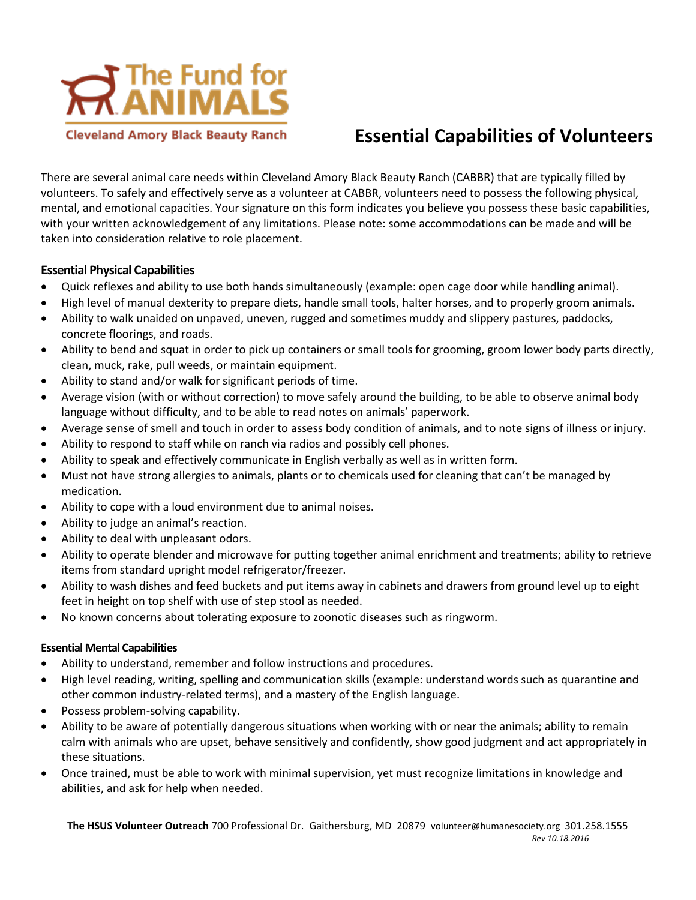

## **Essential Capabilities of Volunteers**

There are several animal care needs within Cleveland Amory Black Beauty Ranch (CABBR) that are typically filled by volunteers. To safely and effectively serve as a volunteer at CABBR, volunteers need to possess the following physical, mental, and emotional capacities. Your signature on this form indicates you believe you possess these basic capabilities, with your written acknowledgement of any limitations. Please note: some accommodations can be made and will be taken into consideration relative to role placement.

## **Essential Physical Capabilities**

- Quick reflexes and ability to use both hands simultaneously (example: open cage door while handling animal).
- High level of manual dexterity to prepare diets, handle small tools, halter horses, and to properly groom animals.
- Ability to walk unaided on unpaved, uneven, rugged and sometimes muddy and slippery pastures, paddocks, concrete floorings, and roads.
- Ability to bend and squat in order to pick up containers or small tools for grooming, groom lower body parts directly, clean, muck, rake, pull weeds, or maintain equipment.
- Ability to stand and/or walk for significant periods of time.
- Average vision (with or without correction) to move safely around the building, to be able to observe animal body language without difficulty, and to be able to read notes on animals' paperwork.
- Average sense of smell and touch in order to assess body condition of animals, and to note signs of illness or injury.
- Ability to respond to staff while on ranch via radios and possibly cell phones.
- Ability to speak and effectively communicate in English verbally as well as in written form.
- Must not have strong allergies to animals, plants or to chemicals used for cleaning that can't be managed by medication.
- Ability to cope with a loud environment due to animal noises.
- Ability to judge an animal's reaction.
- Ability to deal with unpleasant odors.
- Ability to operate blender and microwave for putting together animal enrichment and treatments; ability to retrieve items from standard upright model refrigerator/freezer.
- Ability to wash dishes and feed buckets and put items away in cabinets and drawers from ground level up to eight feet in height on top shelf with use of step stool as needed.
- No known concerns about tolerating exposure to zoonotic diseases such as ringworm.

## **Essential Mental Capabilities**

- Ability to understand, remember and follow instructions and procedures.
- High level reading, writing, spelling and communication skills (example: understand words such as quarantine and other common industry-related terms), and a mastery of the English language.
- Possess problem-solving capability.
- Ability to be aware of potentially dangerous situations when working with or near the animals; ability to remain calm with animals who are upset, behave sensitively and confidently, show good judgment and act appropriately in these situations.
- Once trained, must be able to work with minimal supervision, yet must recognize limitations in knowledge and abilities, and ask for help when needed.